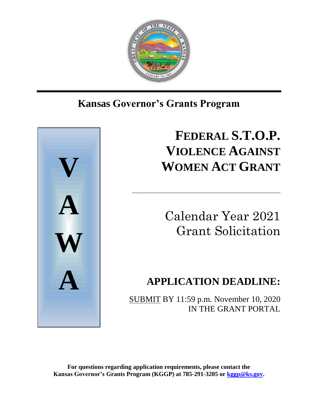

## Ι **Kansas Governor's Grants Program**



# **FEDERAL S.T.O.P. VIOLENCE AGAINST WOMEN ACT GRANT**

\_\_\_\_\_\_\_\_\_\_\_\_\_\_\_\_\_\_\_\_\_\_\_\_\_\_\_\_\_\_\_\_\_\_\_\_\_\_\_\_\_\_\_\_\_\_\_\_\_\_\_\_

Calendar Year 2021 Grant Solicitation

## **APPLICATION DEADLINE:**

SUBMIT BY 11:59 p.m. November 10, 2020 IN THE GRANT PORTAL

**For questions regarding application requirements, please contact the Kansas Governor's Grants Program (KGGP) at 785-291-3205 or [kggp@ks.gov.](mailto:kggp@ks.gov)**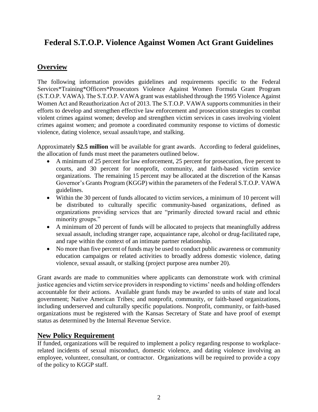## **Federal S.T.O.P. Violence Against Women Act Grant Guidelines**

## **Overview**

The following information provides guidelines and requirements specific to the Federal Services\*Training\*Officers\*Prosecutors Violence Against Women Formula Grant Program (S.T.O.P. VAWA). The S.T.O.P. VAWA grant was established through the 1995 Violence Against Women Act and Reauthorization Act of 2013. The S.T.O.P. VAWA supports communities in their efforts to develop and strengthen effective law enforcement and prosecution strategies to combat violent crimes against women; develop and strengthen victim services in cases involving violent crimes against women; and promote a coordinated community response to victims of domestic violence, dating violence, sexual assault/rape, and stalking.

Approximately **\$2.5 million** will be available for grant awards. According to federal guidelines, the allocation of funds must meet the parameters outlined below.

- A minimum of 25 percent for law enforcement, 25 percent for prosecution, five percent to courts, and 30 percent for nonprofit, community, and faith-based victim service organizations. The remaining 15 percent may be allocated at the discretion of the Kansas Governor's Grants Program (KGGP) within the parameters of the Federal S.T.O.P. VAWA guidelines.
- Within the 30 percent of funds allocated to victim services, a minimum of 10 percent will be distributed to culturally specific community-based organizations, defined as organizations providing services that are "primarily directed toward racial and ethnic minority groups."
- A minimum of 20 percent of funds will be allocated to projects that meaningfully address sexual assault, including stranger rape, acquaintance rape, alcohol or drug-facilitated rape, and rape within the context of an intimate partner relationship.
- No more than five percent of funds may be used to conduct public awareness or community education campaigns or related activities to broadly address domestic violence, dating violence, sexual assault, or stalking (project purpose area number 20).

Grant awards are made to communities where applicants can demonstrate work with criminal justice agencies and victim service providers in responding to victims' needs and holding offenders accountable for their actions. Available grant funds may be awarded to units of state and local government; Native American Tribes; and nonprofit, community, or faith-based organizations, including underserved and culturally specific populations. Nonprofit, community, or faith-based organizations must be registered with the Kansas Secretary of State and have proof of exempt status as determined by the Internal Revenue Service.

## **New Policy Requirement**

If funded, organizations will be required to implement a policy regarding response to workplacerelated incidents of sexual misconduct, domestic violence, and dating violence involving an employee, volunteer, consultant, or contractor. Organizations will be required to provide a copy of the policy to KGGP staff.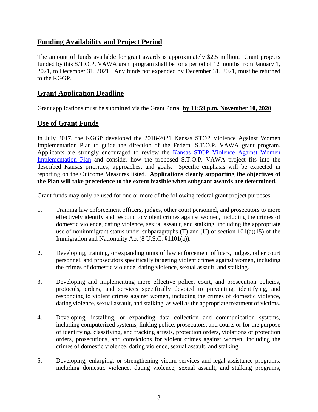## **Funding Availability and Project Period**

The amount of funds available for grant awards is approximately \$2.5 million. Grant projects funded by this S.T.O.P. VAWA grant program shall be for a period of 12 months from January 1, 2021, to December 31, 2021. Any funds not expended by December 31, 2021, must be returned to the KGGP.

## **Grant Application Deadline**

Grant applications must be submitted via the Grant Portal **by 11:59 p.m. November 10, 2020**.

## **Use of Grant Funds**

In July 2017, the KGGP developed the 2018-2021 Kansas STOP Violence Against Women Implementation Plan to guide the direction of the Federal S.T.O.P. VAWA grant program. Applicants are strongly encouraged to review the Kansas STOP Violence Against Women [Implementation Plan](http://www.grants.ks.gov/docs/default-source/Grant-Reports/final-ffy-2017-2020-stop-vawa-implementation-plan.pdf?sfvrsn=2) and consider how the proposed S.T.O.P. VAWA project fits into the described Kansas priorities, approaches, and goals. Specific emphasis will be expected in reporting on the Outcome Measures listed. **Applications clearly supporting the objectives of the Plan will take precedence to the extent feasible when subgrant awards are determined.** 

Grant funds may only be used for one or more of the following federal grant project purposes:

- 1. Training law enforcement officers, judges, other court personnel, and prosecutors to more effectively identify and respond to violent crimes against women, including the crimes of domestic violence, dating violence, sexual assault, and stalking, including the appropriate use of nonimmigrant status under subparagraphs  $(T)$  and  $(U)$  of section  $101(a)(15)$  of the Immigration and Nationality Act (8 U.S.C. §1101(a)).
- 2. Developing, training, or expanding units of law enforcement officers, judges, other court personnel, and prosecutors specifically targeting violent crimes against women, including the crimes of domestic violence, dating violence, sexual assault, and stalking.
- 3. Developing and implementing more effective police, court, and prosecution policies, protocols, orders, and services specifically devoted to preventing, identifying, and responding to violent crimes against women, including the crimes of domestic violence, dating violence, sexual assault, and stalking, as well as the appropriate treatment of victims.
- 4. Developing, installing, or expanding data collection and communication systems, including computerized systems, linking police, prosecutors, and courts or for the purpose of identifying, classifying, and tracking arrests, protection orders, violations of protection orders, prosecutions, and convictions for violent crimes against women, including the crimes of domestic violence, dating violence, sexual assault, and stalking.
- 5. Developing, enlarging, or strengthening victim services and legal assistance programs, including domestic violence, dating violence, sexual assault, and stalking programs,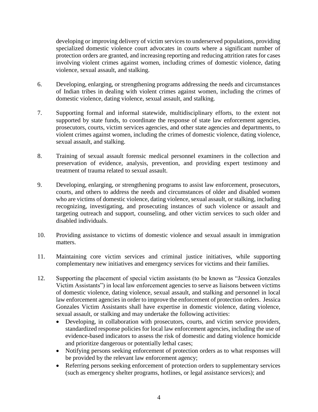developing or improving delivery of victim services to underserved populations, providing specialized domestic violence court advocates in courts where a significant number of protection orders are granted, and increasing reporting and reducing attrition rates for cases involving violent crimes against women, including crimes of domestic violence, dating violence, sexual assault, and stalking.

- 6. Developing, enlarging, or strengthening programs addressing the needs and circumstances of Indian tribes in dealing with violent crimes against women, including the crimes of domestic violence, dating violence, sexual assault, and stalking.
- 7. Supporting formal and informal statewide, multidisciplinary efforts, to the extent not supported by state funds, to coordinate the response of state law enforcement agencies, prosecutors, courts, victim services agencies, and other state agencies and departments, to violent crimes against women, including the crimes of domestic violence, dating violence, sexual assault, and stalking.
- 8. Training of sexual assault forensic medical personnel examiners in the collection and preservation of evidence, analysis, prevention, and providing expert testimony and treatment of trauma related to sexual assault.
- 9. Developing, enlarging, or strengthening programs to assist law enforcement, prosecutors, courts, and others to address the needs and circumstances of older and disabled women who are victims of domestic violence, dating violence, sexual assault, or stalking, including recognizing, investigating, and prosecuting instances of such violence or assault and targeting outreach and support, counseling, and other victim services to such older and disabled individuals.
- 10. Providing assistance to victims of domestic violence and sexual assault in immigration matters.
- 11. Maintaining core victim services and criminal justice initiatives, while supporting complementary new initiatives and emergency services for victims and their families.
- 12. Supporting the placement of special victim assistants (to be known as "Jessica Gonzales Victim Assistants") in local law enforcement agencies to serve as liaisons between victims of domestic violence, dating violence, sexual assault, and stalking and personnel in local law enforcement agencies in order to improve the enforcement of protection orders. Jessica Gonzales Victim Assistants shall have expertise in domestic violence, dating violence, sexual assault, or stalking and may undertake the following activities:
	- Developing, in collaboration with prosecutors, courts, and victim service providers, standardized response policies for local law enforcement agencies, including the use of evidence-based indicators to assess the risk of domestic and dating violence homicide and prioritize dangerous or potentially lethal cases;
	- Notifying persons seeking enforcement of protection orders as to what responses will be provided by the relevant law enforcement agency;
	- Referring persons seeking enforcement of protection orders to supplementary services (such as emergency shelter programs, hotlines, or legal assistance services); and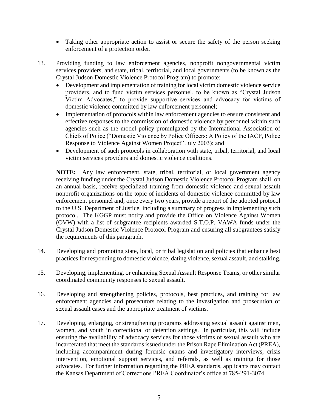- Taking other appropriate action to assist or secure the safety of the person seeking enforcement of a protection order.
- 13. Providing funding to law enforcement agencies, nonprofit nongovernmental victim services providers, and state, tribal, territorial, and local governments (to be known as the Crystal Judson Domestic Violence Protocol Program) to promote:
	- Development and implementation of training for local victim domestic violence service providers, and to fund victim services personnel, to be known as "Crystal Judson Victim Advocates," to provide supportive services and advocacy for victims of domestic violence committed by law enforcement personnel;
	- Implementation of protocols within law enforcement agencies to ensure consistent and effective responses to the commission of domestic violence by personnel within such agencies such as the model policy promulgated by the International Association of Chiefs of Police ("Domestic Violence by Police Officers: A Policy of the IACP, Police Response to Violence Against Women Project" July 2003); and
	- Development of such protocols in collaboration with state, tribal, territorial, and local victim services providers and domestic violence coalitions.

**NOTE:** Any law enforcement, state, tribal, territorial, or local government agency receiving funding under the Crystal Judson Domestic Violence Protocol Program shall, on an annual basis, receive specialized training from domestic violence and sexual assault nonprofit organizations on the topic of incidents of domestic violence committed by law enforcement personnel and, once every two years, provide a report of the adopted protocol to the U.S. Department of Justice, including a summary of progress in implementing such protocol. The KGGP must notify and provide the Office on Violence Against Women (OVW) with a list of subgrantee recipients awarded S.T.O.P. VAWA funds under the Crystal Judson Domestic Violence Protocol Program and ensuring all subgrantees satisfy the requirements of this paragraph.

- 14. Developing and promoting state, local, or tribal legislation and policies that enhance best practices for responding to domestic violence, dating violence, sexual assault, and stalking.
- 15. Developing, implementing, or enhancing Sexual Assault Response Teams, or other similar coordinated community responses to sexual assault.
- 16. Developing and strengthening policies, protocols, best practices, and training for law enforcement agencies and prosecutors relating to the investigation and prosecution of sexual assault cases and the appropriate treatment of victims.
- 17. Developing, enlarging, or strengthening programs addressing sexual assault against men, women, and youth in correctional or detention settings. In particular, this will include ensuring the availability of advocacy services for those victims of sexual assault who are incarcerated that meet the standards issued under the Prison Rape Elimination Act (PREA), including accompaniment during forensic exams and investigatory interviews, crisis intervention, emotional support services, and referrals, as well as training for those advocates. For further information regarding the PREA standards, applicants may contact the Kansas Department of Corrections PREA Coordinator's office at 785-291-3074.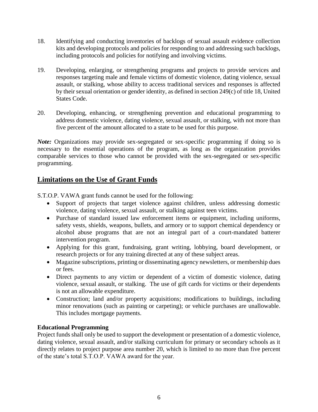- 18. Identifying and conducting inventories of backlogs of sexual assault evidence collection kits and developing protocols and policies for responding to and addressing such backlogs, including protocols and policies for notifying and involving victims.
- 19. Developing, enlarging, or strengthening programs and projects to provide services and responses targeting male and female victims of domestic violence, dating violence, sexual assault, or stalking, whose ability to access traditional services and responses is affected by their sexual orientation or gender identity, as defined in section 249(c) of title 18, United States Code.
- 20. Developing, enhancing, or strengthening prevention and educational programming to address domestic violence, dating violence, sexual assault, or stalking, with not more than five percent of the amount allocated to a state to be used for this purpose.

*Note:* Organizations may provide sex-segregated or sex-specific programming if doing so is necessary to the essential operations of the program, as long as the organization provides comparable services to those who cannot be provided with the sex-segregated or sex-specific programming.

## **Limitations on the Use of Grant Funds**

S.T.O.P. VAWA grant funds cannot be used for the following:

- Support of projects that target violence against children, unless addressing domestic violence, dating violence, sexual assault, or stalking against teen victims.
- Purchase of standard issued law enforcement items or equipment, including uniforms, safety vests, shields, weapons, bullets, and armory or to support chemical dependency or alcohol abuse programs that are not an integral part of a court-mandated batterer intervention program.
- Applying for this grant, fundraising, grant writing, lobbying, board development, or research projects or for any training directed at any of these subject areas.
- Magazine subscriptions, printing or disseminating agency newsletters, or membership dues or fees.
- Direct payments to any victim or dependent of a victim of domestic violence, dating violence, sexual assault, or stalking. The use of gift cards for victims or their dependents is not an allowable expenditure.
- Construction; land and/or property acquisitions; modifications to buildings, including minor renovations (such as painting or carpeting); or vehicle purchases are unallowable. This includes mortgage payments.

#### **Educational Programming**

Project funds shall only be used to support the development or presentation of a domestic violence, dating violence, sexual assault, and/or stalking curriculum for primary or secondary schools as it directly relates to project purpose area number 20, which is limited to no more than five percent of the state's total S.T.O.P. VAWA award for the year.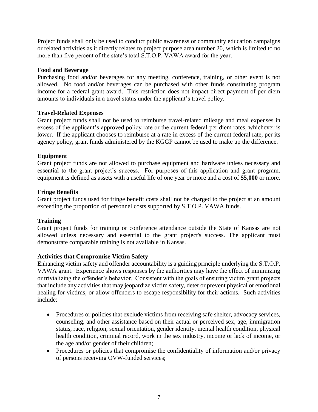Project funds shall only be used to conduct public awareness or community education campaigns or related activities as it directly relates to project purpose area number 20, which is limited to no more than five percent of the state's total S.T.O.P. VAWA award for the year.

#### **Food and Beverage**

Purchasing food and/or beverages for any meeting, conference, training, or other event is not allowed. No food and/or beverages can be purchased with other funds constituting program income for a federal grant award. This restriction does not impact direct payment of per diem amounts to individuals in a travel status under the applicant's travel policy.

#### **Travel-Related Expenses**

Grant project funds shall not be used to reimburse travel-related mileage and meal expenses in excess of the applicant's approved policy rate or the current federal per diem rates, whichever is lower. If the applicant chooses to reimburse at a rate in excess of the current federal rate, per its agency policy, grant funds administered by the KGGP cannot be used to make up the difference.

#### **Equipment**

Grant project funds are not allowed to purchase equipment and hardware unless necessary and essential to the grant project's success. For purposes of this application and grant program, equipment is defined as assets with a useful life of one year or more and a cost of **\$5,000** or more.

#### **Fringe Benefits**

Grant project funds used for fringe benefit costs shall not be charged to the project at an amount exceeding the proportion of personnel costs supported by S.T.O.P. VAWA funds.

#### **Training**

Grant project funds for training or conference attendance outside the State of Kansas are not allowed unless necessary and essential to the grant project's success. The applicant must demonstrate comparable training is not available in Kansas.

#### **Activities that Compromise Victim Safety**

Enhancing victim safety and offender accountability is a guiding principle underlying the S.T.O.P. VAWA grant. Experience shows responses by the authorities may have the effect of minimizing or trivializing the offender's behavior. Consistent with the goals of ensuring victim grant projects that include any activities that may jeopardize victim safety, deter or prevent physical or emotional healing for victims, or allow offenders to escape responsibility for their actions. Such activities include:

- Procedures or policies that exclude victims from receiving safe shelter, advocacy services, counseling, and other assistance based on their actual or perceived sex, age, immigration status, race, religion, sexual orientation, gender identity, mental health condition, physical health condition, criminal record, work in the sex industry, income or lack of income, or the age and/or gender of their children;
- Procedures or policies that compromise the confidentiality of information and/or privacy of persons receiving OVW-funded services;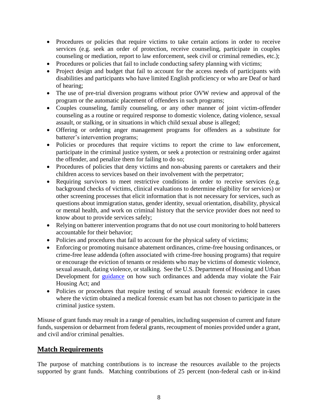- Procedures or policies that require victims to take certain actions in order to receive services (e.g. seek an order of protection, receive counseling, participate in couples counseling or mediation, report to law enforcement, seek civil or criminal remedies, etc.);
- Procedures or policies that fail to include conducting safety planning with victims;
- Project design and budget that fail to account for the access needs of participants with disabilities and participants who have limited English proficiency or who are Deaf or hard of hearing;
- The use of pre-trial diversion programs without prior OVW review and approval of the program or the automatic placement of offenders in such programs;
- Couples counseling, family counseling, or any other manner of joint victim-offender counseling as a routine or required response to domestic violence, dating violence, sexual assault, or stalking, or in situations in which child sexual abuse is alleged;
- Offering or ordering anger management programs for offenders as a substitute for batterer's intervention programs;
- Policies or procedures that require victims to report the crime to law enforcement, participate in the criminal justice system, or seek a protection or restraining order against the offender, and penalize them for failing to do so;
- Procedures of policies that deny victims and non-abusing parents or caretakers and their children access to services based on their involvement with the perpetrator;
- Requiring survivors to meet restrictive conditions in order to receive services (e.g. background checks of victims, clinical evaluations to determine eligibility for services) or other screening processes that elicit information that is not necessary for services, such as questions about immigration status, gender identity, sexual orientation, disability, physical or mental health, and work on criminal history that the service provider does not need to know about to provide services safely;
- Relying on batterer intervention programs that do not use court monitoring to hold batterers accountable for their behavior;
- Policies and procedures that fail to account for the physical safety of victims;
- Enforcing or promoting nuisance abatement ordinances, crime-free housing ordinances, or crime-free lease addenda (often associated with crime-free housing programs) that require or encourage the eviction of tenants or residents who may be victims of domestic violence, sexual assault, dating violence, or stalking. See the U.S. Department of Housing and Urban Development for [guidance](https://www.hud.gov/sites/documents/FINALNUISANCEORDGDNCE.PDF) on how such ordinances and addenda may violate the Fair Housing Act; and
- Policies or procedures that require testing of sexual assault forensic evidence in cases where the victim obtained a medical forensic exam but has not chosen to participate in the criminal justice system.

Misuse of grant funds may result in a range of penalties, including suspension of current and future funds, suspension or debarment from federal grants, recoupment of monies provided under a grant, and civil and/or criminal penalties.

## **Match Requirements**

The purpose of matching contributions is to increase the resources available to the projects supported by grant funds. Matching contributions of 25 percent (non-federal cash or in-kind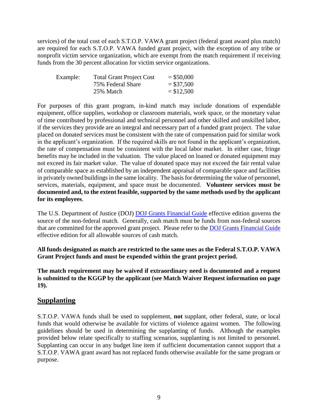services) of the total cost of each S.T.O.P. VAWA grant project (federal grant award plus match) are required for each S.T.O.P. VAWA funded grant project, with the exception of any tribe or nonprofit victim service organization, which are exempt from the match requirement if receiving funds from the 30 percent allocation for victim service organizations.

| Example: | <b>Total Grant Project Cost</b> | $=$ \$50,000 |
|----------|---------------------------------|--------------|
|          | 75% Federal Share               | $= $37,500$  |
|          | 25% Match                       | $= $12,500$  |

For purposes of this grant program, in-kind match may include donations of expendable equipment, office supplies, workshop or classroom materials, work space, or the monetary value of time contributed by professional and technical personnel and other skilled and unskilled labor, if the services they provide are an integral and necessary part of a funded grant project. The value placed on donated services must be consistent with the rate of compensation paid for similar work in the applicant's organization. If the required skills are not found in the applicant's organization, the rate of compensation must be consistent with the local labor market. In either case, fringe benefits may be included in the valuation. The value placed on loaned or donated equipment may not exceed its fair market value. The value of donated space may not exceed the fair rental value of comparable space as established by an independent appraisal of comparable space and facilities in privately owned buildings in the same locality. The basis for determining the value of personnel, services, materials, equipment, and space must be documented. **Volunteer services must be documented and, to the extent feasible, supported by the same methods used by the applicant for its employees**.

The U.S. Department of Justice (DOJ) **DOJ** Grants Financial Guide effective edition governs the source of the non-federal match. Generally, cash match must be funds from non-federal sources that are committed for the approved grant project. Please refer to the [DOJ Grants Financial Guide](http://ojp.gov/financialguide/DOJ/index.htm) effective edition for all allowable sources of cash match.

**All funds designated as match are restricted to the same uses as the Federal S.T.O.P. VAWA Grant Project funds and must be expended within the grant project period.**

**The match requirement may be waived if extraordinary need is documented and a request is submitted to the KGGP by the applicant (see Match Waiver Request information on page 19).**

## **Supplanting**

S.T.O.P. VAWA funds shall be used to supplement, **not** supplant, other federal, state, or local funds that would otherwise be available for victims of violence against women. The following guidelines should be used in determining the supplanting of funds. Although the examples provided below relate specifically to staffing scenarios, supplanting is not limited to personnel. Supplanting can occur in any budget line item if sufficient documentation cannot support that a S.T.O.P. VAWA grant award has not replaced funds otherwise available for the same program or purpose.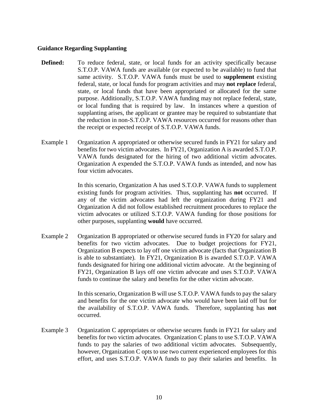#### **Guidance Regarding Supplanting**

- **Defined:** To reduce federal, state, or local funds for an activity specifically because S.T.O.P. VAWA funds are available (or expected to be available) to fund that same activity. S.T.O.P. VAWA funds must be used to **supplement** existing federal, state, or local funds for program activities and may **not replace** federal, state, or local funds that have been appropriated or allocated for the same purpose. Additionally, S.T.O.P. VAWA funding may not replace federal, state, or local funding that is required by law. In instances where a question of supplanting arises, the applicant or grantee may be required to substantiate that the reduction in non-S.T.O.P. VAWA resources occurred for reasons other than the receipt or expected receipt of S.T.O.P. VAWA funds.
- Example 1 Organization A appropriated or otherwise secured funds in FY21 for salary and benefits for two victim advocates. In FY21, Organization A is awarded S.T.O.P. VAWA funds designated for the hiring of two additional victim advocates. Organization A expended the S.T.O.P. VAWA funds as intended, and now has four victim advocates.

In this scenario, Organization A has used S.T.O.P. VAWA funds to supplement existing funds for program activities. Thus, supplanting has **not** occurred. If any of the victim advocates had left the organization during FY21 and Organization A did not follow established recruitment procedures to replace the victim advocates or utilized S.T.O.P. VAWA funding for those positions for other purposes, supplanting **would** have occurred.

Example 2 Organization B appropriated or otherwise secured funds in FY20 for salary and benefits for two victim advocates. Due to budget projections for FY21, Organization B expects to lay off one victim advocate (facts that Organization B is able to substantiate). In FY21, Organization B is awarded S.T.O.P. VAWA funds designated for hiring one additional victim advocate. At the beginning of FY21, Organization B lays off one victim advocate and uses S.T.O.P. VAWA funds to continue the salary and benefits for the other victim advocate.

> In this scenario, Organization B will use S.T.O.P. VAWA funds to pay the salary and benefits for the one victim advocate who would have been laid off but for the availability of S.T.O.P. VAWA funds. Therefore, supplanting has **not** occurred.

Example 3 Organization C appropriates or otherwise secures funds in FY21 for salary and benefits for two victim advocates. Organization C plans to use S.T.O.P. VAWA funds to pay the salaries of two additional victim advocates. Subsequently, however, Organization C opts to use two current experienced employees for this effort, and uses S.T.O.P. VAWA funds to pay their salaries and benefits. In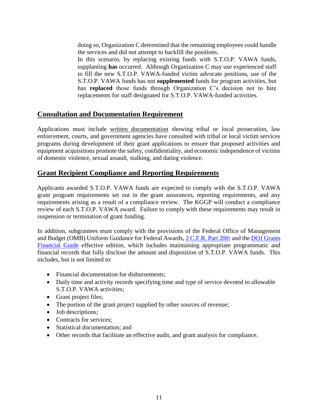doing so, Organization C determined that the remaining employees could handle the services and did not attempt to backfill the positions.

In this scenario, by replacing existing funds with S.T.O.P. VAWA funds, supplanting **has** occurred. Although Organization C may use experienced staff to fill the new S.T.O.P. VAWA-funded victim advocate positions, use of the S.T.O.P. VAWA funds has not **supplemented** funds for program activities, but has **replaced** those funds through Organization C's decision not to hire replacements for staff designated for S.T.O.P. VAWA-funded activities.

## **Consultation and Documentation Requirement**

Applications must include written documentation showing tribal or local prosecution, law enforcement, courts, and government agencies have consulted with tribal or local victim services programs during development of their grant applications to ensure that proposed activities and equipment acquisitions promote the safety, confidentiality, and economic independence of victims of domestic violence, sexual assault, stalking, and dating violence.

## **Grant Recipient Compliance and Reporting Requirements**

Applicants awarded S.T.O.P. VAWA funds are expected to comply with the S.T.O.P. VAWA grant program requirements set out in the grant assurances, reporting requirements, and any requirements arising as a result of a compliance review. The KGGP will conduct a compliance review of each S.T.O.P. VAWA award. Failure to comply with these requirements may result in suspension or termination of grant funding.

In addition, subgrantees must comply with the provisions of the Federal Office of Management and Budget (OMB) Uniform Guidance for Federal Awards[, 2 C.F.R.](http://www.ecfr.gov/cgi-bin/text-idx?SID=2c6d1c9f8de1f9619110b4599d84a234&mc=true&node=pt2.1.200&rgn=div5#_top) Part 200; and the DOJ Grants [Financial Guide](http://ojp.gov/financialguide/DOJ/index.htm) effective edition, which includes maintaining appropriate programmatic and financial records that fully disclose the amount and disposition of S.T.O.P. VAWA funds. This includes, but is not limited to:

- Financial documentation for disbursements;
- Daily time and activity records specifying time and type of service devoted to allowable S.T.O.P. VAWA activities;
- Grant project files;
- The portion of the grant project supplied by other sources of revenue;
- Job descriptions;
- Contracts for services:
- Statistical documentation: and
- Other records that facilitate an effective audit, and grant analysis for compliance.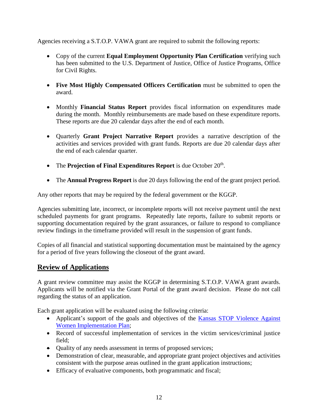Agencies receiving a S.T.O.P. VAWA grant are required to submit the following reports:

- Copy of the current **Equal Employment Opportunity Plan Certification** verifying such has been submitted to the U.S. Department of Justice, Office of Justice Programs, Office for Civil Rights.
- **Five Most Highly Compensated Officers Certification** must be submitted to open the award.
- Monthly **Financial Status Report** provides fiscal information on expenditures made during the month. Monthly reimbursements are made based on these expenditure reports. These reports are due 20 calendar days after the end of each month.
- Quarterly **Grant Project Narrative Report** provides a narrative description of the activities and services provided with grant funds. Reports are due 20 calendar days after the end of each calendar quarter.
- The **Projection of Final Expenditures Report** is due October 20<sup>th</sup>.
- The **Annual Progress Report** is due 20 days following the end of the grant project period.

Any other reports that may be required by the federal government or the KGGP.

Agencies submitting late, incorrect, or incomplete reports will not receive payment until the next scheduled payments for grant programs. Repeatedly late reports, failure to submit reports or supporting documentation required by the grant assurances, or failure to respond to compliance review findings in the timeframe provided will result in the suspension of grant funds.

Copies of all financial and statistical supporting documentation must be maintained by the agency for a period of five years following the closeout of the grant award.

## **Review of Applications**

A grant review committee may assist the KGGP in determining S.T.O.P. VAWA grant awards. Applicants will be notified via the Grant Portal of the grant award decision. Please do not call regarding the status of an application.

Each grant application will be evaluated using the following criteria:

- Applicant's support of the goals and objectives of the Kansas STOP Violence Against [Women Implementation Plan;](http://www.grants.ks.gov/docs/default-source/Grant-Reports/final-ffy-2017-2020-stop-vawa-implementation-plan.pdf?sfvrsn=2)
- Record of successful implementation of services in the victim services/criminal justice field;
- Quality of any needs assessment in terms of proposed services;
- Demonstration of clear, measurable, and appropriate grant project objectives and activities consistent with the purpose areas outlined in the grant application instructions;
- Efficacy of evaluative components, both programmatic and fiscal;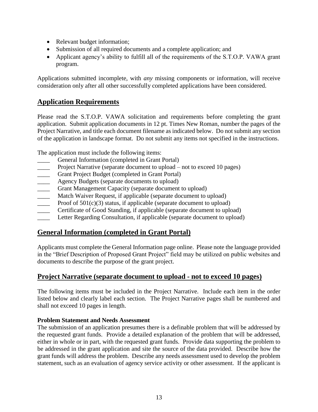- Relevant budget information;
- Submission of all required documents and a complete application; and
- Applicant agency's ability to fulfill all of the requirements of the S.T.O.P. VAWA grant program.

Applications submitted incomplete, with *any* missing components or information, will receive consideration only after all other successfully completed applications have been considered.

## **Application Requirements**

Please read the S.T.O.P. VAWA solicitation and requirements before completing the grant application. Submit application documents in 12 pt. Times New Roman, number the pages of the Project Narrative, and title each document filename as indicated below. Do not submit any section of the application in landscape format. Do not submit any items not specified in the instructions.

The application must include the following items:

- General Information (completed in Grant Portal)
- Project Narrative (separate document to upload not to exceed 10 pages)
- Grant Project Budget (completed in Grant Portal)
- **EXECUTE:** Agency Budgets (separate documents to upload)
- Grant Management Capacity (separate document to upload)
- Match Waiver Request, if applicable (separate document to upload)
- Proof of  $501(c)(3)$  status, if applicable (separate document to upload)
- Certificate of Good Standing, if applicable (separate document to upload)
- Letter Regarding Consultation, if applicable (separate document to upload)

## **General Information (completed in Grant Portal)**

Applicants must complete the General Information page online. Please note the language provided in the "Brief Description of Proposed Grant Project" field may be utilized on public websites and documents to describe the purpose of the grant project.

## **Project Narrative (separate document to upload - not to exceed 10 pages)**

The following items must be included in the Project Narrative. Include each item in the order listed below and clearly label each section. The Project Narrative pages shall be numbered and shall not exceed 10 pages in length.

#### **Problem Statement and Needs Assessment**

The submission of an application presumes there is a definable problem that will be addressed by the requested grant funds. Provide a detailed explanation of the problem that will be addressed, either in whole or in part, with the requested grant funds. Provide data supporting the problem to be addressed in the grant application and site the source of the data provided. Describe how the grant funds will address the problem. Describe any needs assessment used to develop the problem statement, such as an evaluation of agency service activity or other assessment. If the applicant is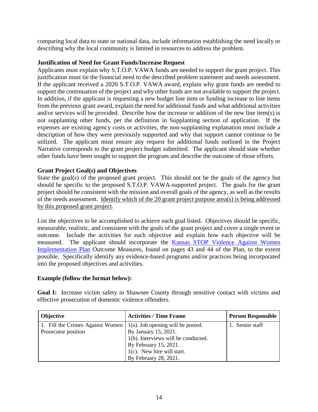comparing local data to state or national data, include information establishing the need locally or describing why the local community is limited in resources to address the problem.

#### **Justification of Need for Grant Funds/Increase Request**

Applicants must explain why S.T.O.P. VAWA funds are needed to support the grant project. This justification must tie the financial need to the described problem statement and needs assessment. If the applicant received a 2020 S.T.O.P. VAWA award, explain why grant funds are needed to support the continuation of the project and why other funds are not available to support the project. In addition, if the applicant is requesting a new budget line item or funding increase to line items from the previous grant award, explain the need for additional funds and what additional activities and/or services will be provided. Describe how the increase or addition of the new line item(s) is not supplanting other funds, per the definition in Supplanting section of application. If the expenses are existing agency costs or activities, the non-supplanting explanation must include a description of how they were previously supported and why that support cannot continue to be utilized. The applicant must ensure any request for additional funds outlined in the Project Narrative corresponds to the grant project budget submitted. The applicant should state whether other funds have been sought to support the program and describe the outcome of those efforts.

#### **Grant Project Goal(s) and Objectives**

State the goal(s) of the proposed grant project. This should not be the goals of the agency but should be specific to the proposed S.T.O.P. VAWA-supported project. The goals for the grant project should be consistent with the mission and overall goals of the agency, as well as the results of the needs assessment. Identify which of the 20 grant project purpose area(s) is being addressed by this proposed grant project.

List the objectives to be accomplished to achieve each goal listed. Objectives should be specific, measurable, realistic, and consistent with the goals of the grant project and cover a single event or outcome. Include the activities for each objective and explain how each objective will be measured. The applicant should incorporate the [Kansas STOP Violence Against Women](http://www.grants.ks.gov/docs/default-source/Grant-Reports/final-ffy-2017-2020-stop-vawa-implementation-plan.pdf?sfvrsn=2)  [Implementation Plan](http://www.grants.ks.gov/docs/default-source/Grant-Reports/final-ffy-2017-2020-stop-vawa-implementation-plan.pdf?sfvrsn=2) Outcome Measures, found on pages 43 and 44 of the Plan, to the extent possible. Specifically identify any evidence-based programs and/or practices being incorporated into the proposed objectives and activities.

#### **Example (follow the format below):**

**Goal I:** Increase victim safety in Shawnee County through sensitive contact with victims and effective prosecution of domestic violence offenders.

| <b>Objective</b>                 | <b>Activities / Time Frame</b>       | <b>Person Responsible</b> |
|----------------------------------|--------------------------------------|---------------------------|
| 1. Fill the Crimes Against Women | $1(a)$ . Job opening will be posted. | 1. Senior staff           |
| Prosecutor position              | By January 15, 2021.                 |                           |
|                                  | 1(b). Interviews will be conducted.  |                           |
|                                  | By February 15, 2021.                |                           |
|                                  | $1(c)$ . New hire will start.        |                           |
|                                  | By February 28, 2021.                |                           |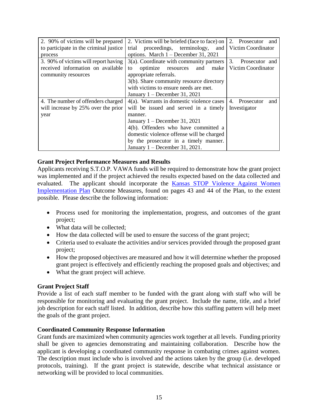| 2. 90% of victims will be prepared     | 2. Victims will be briefed (face to face) on | 2. Prosecutor<br>and |
|----------------------------------------|----------------------------------------------|----------------------|
| to participate in the criminal justice | proceedings, terminology,<br>trial<br>and    | Victim Coordinator   |
| process                                | options. March $1 -$ December 31, 2021       |                      |
| 3. 90% of victims will report having   | $3(a)$ . Coordinate with community partners  | 3.<br>Prosecutor and |
| received information on available      | optimize resources<br>make<br>and<br>to      | Victim Coordinator   |
| community resources                    | appropriate referrals.                       |                      |
|                                        | 3(b). Share community resource directory     |                      |
|                                        | with victims to ensure needs are met.        |                      |
|                                        | January $1 -$ December 31, 2021              |                      |
| 4. The number of offenders charged     | 4(a). Warrants in domestic violence cases    | 4. Prosecutor<br>and |
| will increase by 25% over the prior    | will be issued and served in a timely        | Investigator         |
| year                                   | manner.                                      |                      |
|                                        | January $1 -$ December 31, 2021              |                      |
|                                        | 4(b). Offenders who have committed a         |                      |
|                                        | domestic violence offense will be charged    |                      |
|                                        | by the prosecutor in a timely manner.        |                      |
|                                        | January $1 -$ December 31, 2021.             |                      |

#### **Grant Project Performance Measures and Results**

Applicants receiving S.T.O.P. VAWA funds will be required to demonstrate how the grant project was implemented and if the project achieved the results expected based on the data collected and evaluated. The applicant should incorporate the [Kansas STOP Violence Against Women](http://www.grants.ks.gov/docs/default-source/Grant-Reports/final-ffy-2017-2020-stop-vawa-implementation-plan.pdf?sfvrsn=2)  [Implementation Plan](http://www.grants.ks.gov/docs/default-source/Grant-Reports/final-ffy-2017-2020-stop-vawa-implementation-plan.pdf?sfvrsn=2) Outcome Measures, found on pages 43 and 44 of the Plan, to the extent possible. Please describe the following information:

- Process used for monitoring the implementation, progress, and outcomes of the grant project;
- What data will be collected;
- How the data collected will be used to ensure the success of the grant project;
- Criteria used to evaluate the activities and/or services provided through the proposed grant project;
- How the proposed objectives are measured and how it will determine whether the proposed grant project is effectively and efficiently reaching the proposed goals and objectives; and
- What the grant project will achieve.

#### **Grant Project Staff**

Provide a list of each staff member to be funded with the grant along with staff who will be responsible for monitoring and evaluating the grant project. Include the name, title, and a brief job description for each staff listed. In addition, describe how this staffing pattern will help meet the goals of the grant project.

#### **Coordinated Community Response Information**

Grant funds are maximized when community agencies work together at all levels. Funding priority shall be given to agencies demonstrating and maintaining collaboration. Describe how the applicant is developing a coordinated community response in combating crimes against women. The description must include who is involved and the actions taken by the group (i.e. developed protocols, training). If the grant project is statewide, describe what technical assistance or networking will be provided to local communities.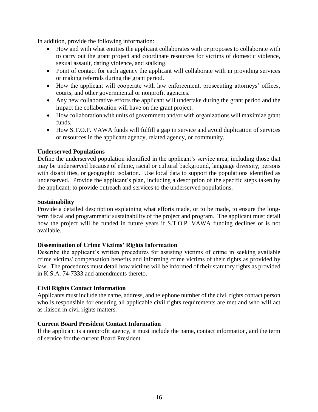In addition, provide the following information:

- How and with what entities the applicant collaborates with or proposes to collaborate with to carry out the grant project and coordinate resources for victims of domestic violence, sexual assault, dating violence, and stalking.
- Point of contact for each agency the applicant will collaborate with in providing services or making referrals during the grant period.
- How the applicant will cooperate with law enforcement, prosecuting attorneys' offices, courts, and other governmental or nonprofit agencies.
- Any new collaborative efforts the applicant will undertake during the grant period and the impact the collaboration will have on the grant project.
- How collaboration with units of government and/or with organizations will maximize grant funds.
- How S.T.O.P. VAWA funds will fulfill a gap in service and avoid duplication of services or resources in the applicant agency, related agency, or community.

#### **Underserved Populations**

Define the underserved population identified in the applicant's service area, including those that may be underserved because of ethnic, racial or cultural background, language diversity, persons with disabilities, or geographic isolation. Use local data to support the populations identified as underserved. Provide the applicant's plan, including a description of the specific steps taken by the applicant, to provide outreach and services to the underserved populations.

#### **Sustainability**

Provide a detailed description explaining what efforts made, or to be made, to ensure the longterm fiscal and programmatic sustainability of the project and program. The applicant must detail how the project will be funded in future years if S.T.O.P. VAWA funding declines or is not available.

#### **Dissemination of Crime Victims' Rights Information**

Describe the applicant's written procedures for assisting victims of crime in seeking available crime victims' compensation benefits and informing crime victims of their rights as provided by law. The procedures must detail how victims will be informed of their statutory rights as provided in K.S.A. 74-7333 and amendments thereto.

#### **Civil Rights Contact Information**

Applicants must include the name, address, and telephone number of the civil rights contact person who is responsible for ensuring all applicable civil rights requirements are met and who will act as liaison in civil rights matters.

#### **Current Board President Contact Information**

If the applicant is a nonprofit agency, it must include the name, contact information, and the term of service for the current Board President.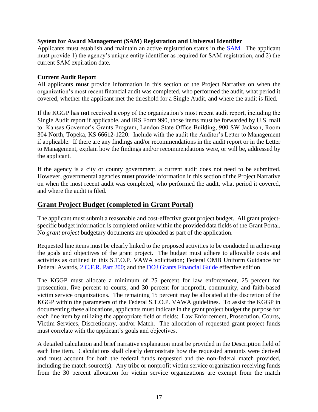#### **System for Award Management (SAM) Registration and Universal Identifier**

Applicants must establish and maintain an active registration status in the [SAM.](http://www.sam.gov/) The applicant must provide 1) the agency's unique entity identifier as required for SAM registration, and 2) the current SAM expiration date.

#### **Current Audit Report**

All applicants **must** provide information in this section of the Project Narrative on when the organization's most recent financial audit was completed, who performed the audit, what period it covered, whether the applicant met the threshold for a Single Audit, and where the audit is filed.

If the KGGP has **not** received a copy of the organization's most recent audit report, including the Single Audit report if applicable, and IRS Form 990, those items must be forwarded by U.S. mail to: Kansas Governor's Grants Program, Landon State Office Building, 900 SW Jackson, Room 304 North, Topeka, KS 66612-1220. Include with the audit the Auditor's Letter to Management if applicable. If there are any findings and/or recommendations in the audit report or in the Letter to Management, explain how the findings and/or recommendations were, or will be, addressed by the applicant.

If the agency is a city or county government, a current audit does not need to be submitted. However, governmental agencies **must** provide information in this section of the Project Narrative on when the most recent audit was completed, who performed the audit, what period it covered, and where the audit is filed.

## **Grant Project Budget (completed in Grant Portal)**

The applicant must submit a reasonable and cost-effective grant project budget. All grant projectspecific budget information is completed online within the provided data fields of the Grant Portal. No *grant project* budgetary documents are uploaded as part of the application.

Requested line items must be clearly linked to the proposed activities to be conducted in achieving the goals and objectives of the grant project. The budget must adhere to allowable costs and activities as outlined in this S.T.O.P. VAWA solicitation; Federal OMB Uniform Guidance for Federal Awards, [2 C.F.R.](http://www.ecfr.gov/cgi-bin/text-idx?SID=2c6d1c9f8de1f9619110b4599d84a234&mc=true&node=pt2.1.200&rgn=div5#_top) Part 200; and the [DOJ Grants Financial Guide](http://ojp.gov/financialguide/DOJ/index.htm) effective edition.

The KGGP must allocate a minimum of 25 percent for law enforcement, 25 percent for prosecution, five percent to courts, and 30 percent for nonprofit, community, and faith-based victim service organizations. The remaining 15 percent may be allocated at the discretion of the KGGP within the parameters of the Federal S.T.O.P. VAWA guidelines. To assist the KGGP in documenting these allocations, applicants must indicate in the grant project budget the purpose for each line item by utilizing the appropriate field or fields: Law Enforcement, Prosecution, Courts, Victim Services, Discretionary, and/or Match. The allocation of requested grant project funds must correlate with the applicant's goals and objectives.

A detailed calculation and brief narrative explanation must be provided in the Description field of each line item. Calculations shall clearly demonstrate how the requested amounts were derived and must account for both the federal funds requested and the non-federal match provided, including the match source(s). Any tribe or nonprofit victim service organization receiving funds from the 30 percent allocation for victim service organizations are exempt from the match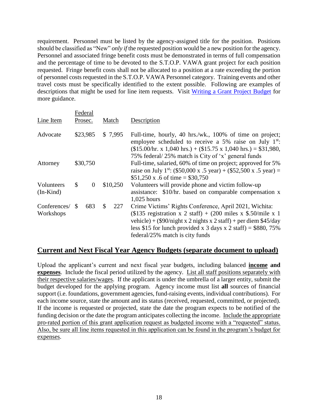requirement. Personnel must be listed by the agency-assigned title for the position. Positions should be classified as "New" *only if* the requested position would be a new position for the agency. Personnel and associated fringe benefit costs must be demonstrated in terms of full compensation and the percentage of time to be devoted to the S.T.O.P. VAWA grant project for each position requested. Fringe benefit costs shall not be allocated to a position at a rate exceeding the portion of personnel costs requested in the S.T.O.P. VAWA Personnel category. Training events and other travel costs must be specifically identified to the extent possible. Following are examples of descriptions that might be used for line item requests. Visit [Writing a Grant Project Budget](https://grants.ks.gov/docs/default-source/how-to-guides/writing-a-grant-project-budget-guide.pdf?sfvrsn=2d1f541a_4) for more guidance.

|                           |                                 | Federal  |    |                                                                                                                                                                                                                                                 |                                                                                                                                                                                                                                                                                                        |  |
|---------------------------|---------------------------------|----------|----|-------------------------------------------------------------------------------------------------------------------------------------------------------------------------------------------------------------------------------------------------|--------------------------------------------------------------------------------------------------------------------------------------------------------------------------------------------------------------------------------------------------------------------------------------------------------|--|
| Line Item<br>Prosec.      |                                 | Match    |    | Description                                                                                                                                                                                                                                     |                                                                                                                                                                                                                                                                                                        |  |
| Advocate                  | \$23,985<br>\$7,995<br>\$30,750 |          |    | Full-time, hourly, 40 hrs./wk., 100% of time on project;<br>employee scheduled to receive a 5% raise on July $1^{st}$ .<br>$($15.00/hr. x 1,040 hrs.) + ($15.75 x 1,040 hrs.) = $31,980,$<br>75% federal/25% match is City of 'x' general funds |                                                                                                                                                                                                                                                                                                        |  |
| Attorney                  |                                 |          |    | Full-time, salaried, 60% of time on project; approved for 5%<br>raise on July 1 <sup>st</sup> : (\$50,000 x .5 year) + (\$52,500 x .5 year) =<br>$$51,250 \text{ x}.6 \text{ of time} = $30,750$                                                |                                                                                                                                                                                                                                                                                                        |  |
| Volunteers<br>$(In-Kind)$ | \$                              | $\theta$ |    | \$10,250                                                                                                                                                                                                                                        | Volunteers will provide phone and victim follow-up<br>assistance: \$10/hr. based on comparable compensation x<br>$1,025$ hours                                                                                                                                                                         |  |
| Conferences/<br>Workshops | \$.                             | 683      | \$ | 227                                                                                                                                                                                                                                             | Crime Victims' Rights Conference, April 2021, Wichita:<br>(\$135 registration x 2 staff) + (200 miles x \$.50/mile x 1<br>vehicle) + $(\$90/night \ x 2 nights \ x 2 staff)$ + per diem $\$45/day$<br>less \$15 for lunch provided x 3 days x 2 staff) = \$880, 75%<br>federal/25% match is city funds |  |

## **Current and Next Fiscal Year Agency Budgets (separate document to upload)**

Upload the applicant's current and next fiscal year budgets, including balanced **income and expenses**. Include the fiscal period utilized by the agency. List all staff positions separately with their respective salaries/wages. If the applicant is under the umbrella of a larger entity, submit the budget developed for the applying program. Agency income must list **all** sources of financial support (i.e. foundations, government agencies, fund-raising events, individual contributions). For each income source, state the amount and its status (received, requested, committed, or projected). If the income is requested or projected, state the date the program expects to be notified of the funding decision or the date the program anticipates collecting the income. Include the appropriate pro-rated portion of this grant application request as budgeted income with a "requested" status. Also, be sure all line items requested in this application can be found in the program's budget for expenses.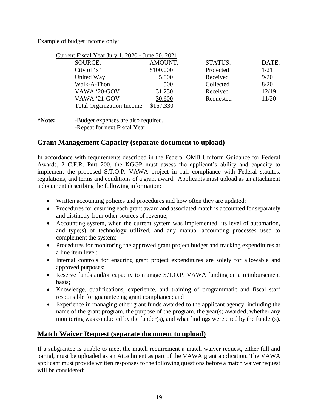Example of budget income only:

| Current Fiscal Year July 1, 2020 - June 30, 2021 |                |                |       |
|--------------------------------------------------|----------------|----------------|-------|
| SOURCE:                                          | <b>AMOUNT:</b> | <b>STATUS:</b> | DATE: |
| City of $x'$                                     | \$100,000      | Projected      | 1/21  |
| United Way                                       | 5,000          | Received       | 9/20  |
| Walk-A-Thon                                      | 500            | Collected      | 8/20  |
| VAWA '20-GOV                                     | 31,230         | Received       | 12/19 |
| VAWA '21-GOV                                     | 30,600         | Requested      | 11/20 |
| <b>Total Organization Income</b>                 | \$167,330      |                |       |

**\*Note:** -Budget expenses are also required. -Repeat for next Fiscal Year.

## **Grant Management Capacity (separate document to upload)**

In accordance with requirements described in the Federal OMB Uniform Guidance for Federal Awards, 2 C.F.R. Part 200, the KGGP must assess the applicant's ability and capacity to implement the proposed S.T.O.P. VAWA project in full compliance with Federal statutes, regulations, and terms and conditions of a grant award. Applicants must upload as an attachment a document describing the following information:

- Written accounting policies and procedures and how often they are updated;
- Procedures for ensuring each grant award and associated match is accounted for separately and distinctly from other sources of revenue;
- Accounting system, when the current system was implemented, its level of automation, and type(s) of technology utilized, and any manual accounting processes used to complement the system;
- Procedures for monitoring the approved grant project budget and tracking expenditures at a line item level;
- Internal controls for ensuring grant project expenditures are solely for allowable and approved purposes;
- Reserve funds and/or capacity to manage S.T.O.P. VAWA funding on a reimbursement basis;
- Knowledge, qualifications, experience, and training of programmatic and fiscal staff responsible for guaranteeing grant compliance; and
- Experience in managing other grant funds awarded to the applicant agency, including the name of the grant program, the purpose of the program, the year(s) awarded, whether any monitoring was conducted by the funder(s), and what findings were cited by the funder(s).

## **Match Waiver Request (separate document to upload)**

If a subgrantee is unable to meet the match requirement a match waiver request, either full and partial, must be uploaded as an Attachment as part of the VAWA grant application. The VAWA applicant must provide written responses to the following questions before a match waiver request will be considered: